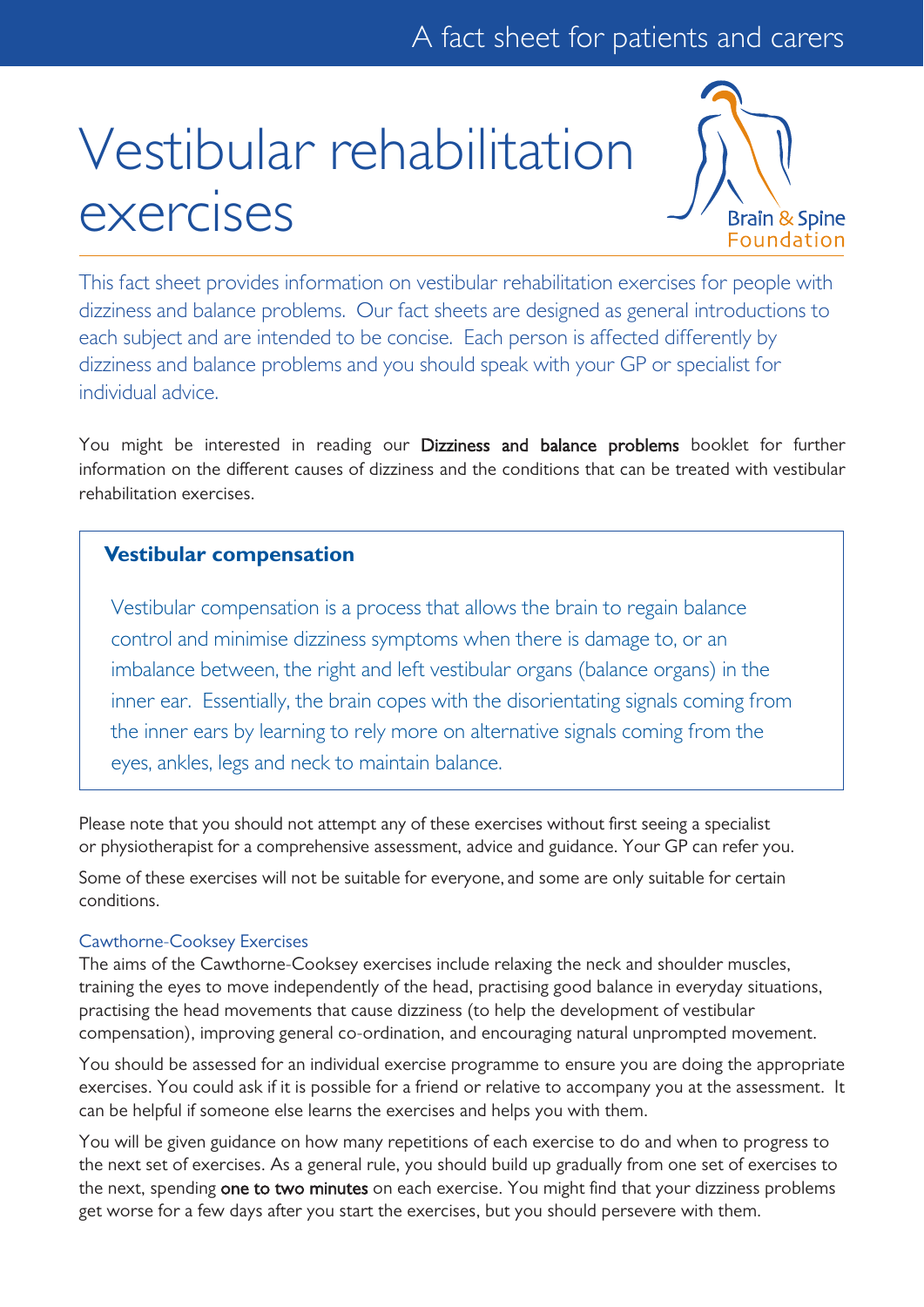# Vestibular rehabilitation exercises



This fact sheet provides information on vestibular rehabilitation exercises for people with dizziness and balance problems. Our fact sheets are designed as general introductions to each subject and are intended to be concise. Each person is affected differently by dizziness and balance problems and you should speak with your GP or specialist for individual advice.

You might be interested in reading our Dizziness and balance problems booklet for further information on the different causes of dizziness and the conditions that can be treated with vestibular rehabilitation exercises.

## **Vestibular compensation**

Vestibular compensation is a process that allows the brain to regain balance control and minimise dizziness symptoms when there is damage to, or an imbalance between, the right and left vestibular organs (balance organs) in the inner ear. Essentially, the brain copes with the disorientating signals coming from the inner ears by learning to rely more on alternative signals coming from the eyes, ankles, legs and neck to maintain balance.

Please note that you should not attempt any of these exercises without first seeing a specialist or physiotherapist for a comprehensive assessment, advice and guidance. Your GP can refer you.

Some of these exercises will not be suitable for everyone, and some are only suitable for certain conditions.

## Cawthorne-Cooksey Exercises

The aims of the Cawthorne-Cooksey exercises include relaxing the neck and shoulder muscles, training the eyes to move independently of the head, practising good balance in everyday situations, practising the head movements that cause dizziness (to help the development of vestibular compensation), improving general co-ordination, and encouraging natural unprompted movement.

You should be assessed for an individual exercise programme to ensure you are doing the appropriate exercises. You could ask if it is possible for a friend or relative to accompany you at the assessment. It can be helpful if someone else learns the exercises and helps you with them.

You will be given guidance on how many repetitions of each exercise to do and when to progress to the next set of exercises. As a general rule, you should build up gradually from one set of exercises to the next, spending one to two minutes on each exercise. You might find that your dizziness problems get worse for a few days after you start the exercises, but you should persevere with them.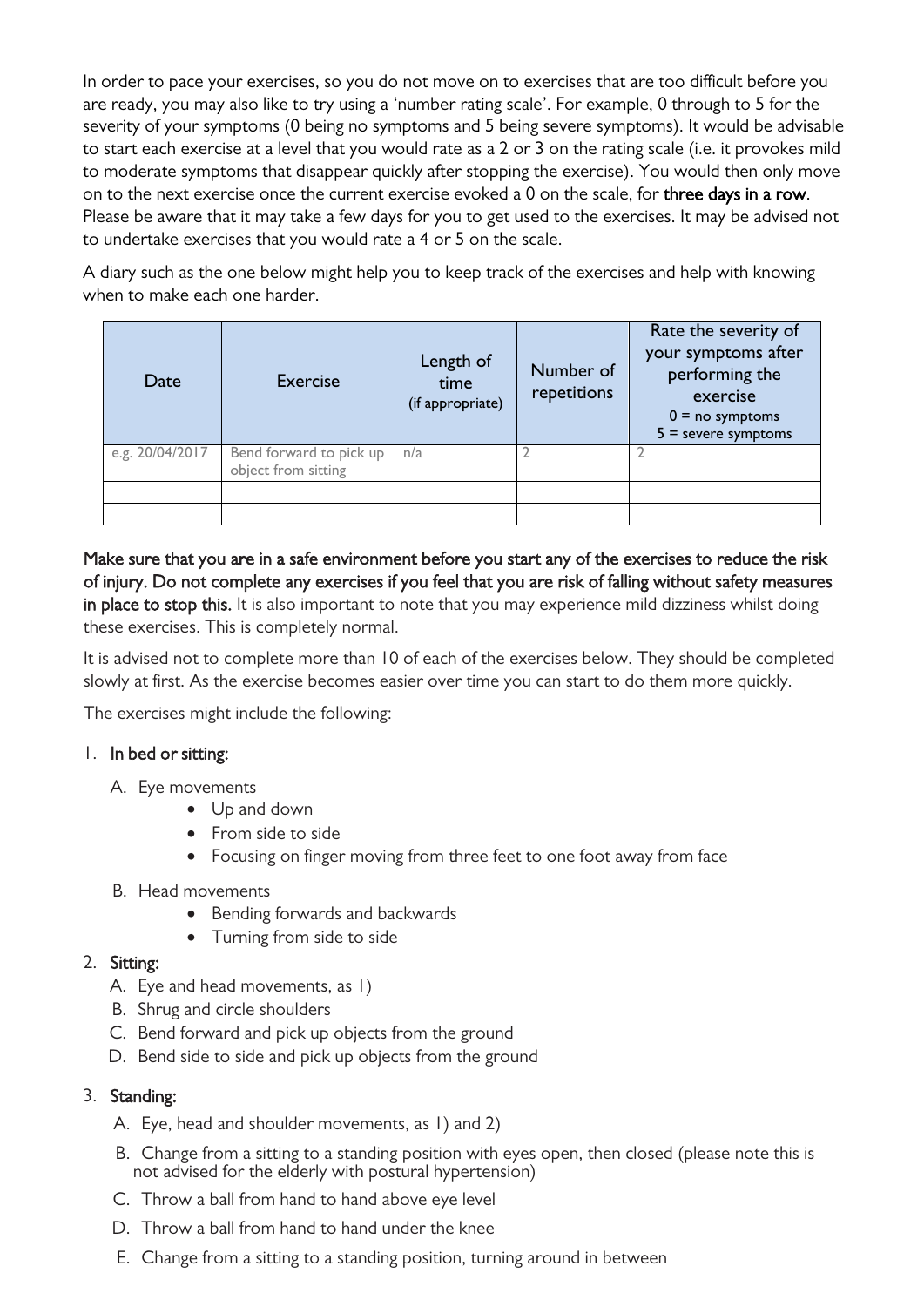In order to pace your exercises, so you do not move on to exercises that are too difficult before you are ready, you may also like to try using a 'number rating scale'. For example, 0 through to 5 for the severity of your symptoms (0 being no symptoms and 5 being severe symptoms). It would be advisable to start each exercise at a level that you would rate as a 2 or 3 on the rating scale (i.e. it provokes mild to moderate symptoms that disappear quickly after stopping the exercise). You would then only move on to the next exercise once the current exercise evoked a 0 on the scale, for three days in a row. Please be aware that it may take a few days for you to get used to the exercises. It may be advised not to undertake exercises that you would rate a 4 or 5 on the scale.

A diary such as the one below might help you to keep track of the exercises and help with knowing when to make each one harder.

| Date            | <b>Exercise</b>                                | Length of<br>time<br>(if appropriate) | Number of<br>repetitions | Rate the severity of<br>your symptoms after<br>performing the<br>exercise<br>$0 = no$ symptoms<br>$5 =$ severe symptoms |
|-----------------|------------------------------------------------|---------------------------------------|--------------------------|-------------------------------------------------------------------------------------------------------------------------|
| e.g. 20/04/2017 | Bend forward to pick up<br>object from sitting | n/a                                   |                          |                                                                                                                         |
|                 |                                                |                                       |                          |                                                                                                                         |
|                 |                                                |                                       |                          |                                                                                                                         |

Make sure that you are in a safe environment before you start any of the exercises to reduce the risk of injury. Do not complete any exercises if you feel that you are risk of falling without safety measures in place to stop this. It is also important to note that you may experience mild dizziness whilst doing these exercises. This is completely normal.

It is advised not to complete more than 10 of each of the exercises below. They should be completed slowly at first. As the exercise becomes easier over time you can start to do them more quickly.

The exercises might include the following:

## 1. In bed or sitting:

- A. Eye movements
	- Up and down
	- From side to side
	- Focusing on finger moving from three feet to one foot away from face
- B. Head movements
	- Bending forwards and backwards
	- Turning from side to side
- 2. Sitting:
	- A. Eye and head movements, as 1)
	- B. Shrug and circle shoulders
	- C. Bend forward and pick up objects from the ground
	- D. Bend side to side and pick up objects from the ground

#### 3. Standing:

- A. Eye, head and shoulder movements, as 1) and 2)
- B. Change from a sitting to a standing position with eyes open, then closed (please note this is not advised for the elderly with postural hypertension)
- C. Throw a ball from hand to hand above eye level
- D. Throw a ball from hand to hand under the knee
- E. Change from a sitting to a standing position, turning around in between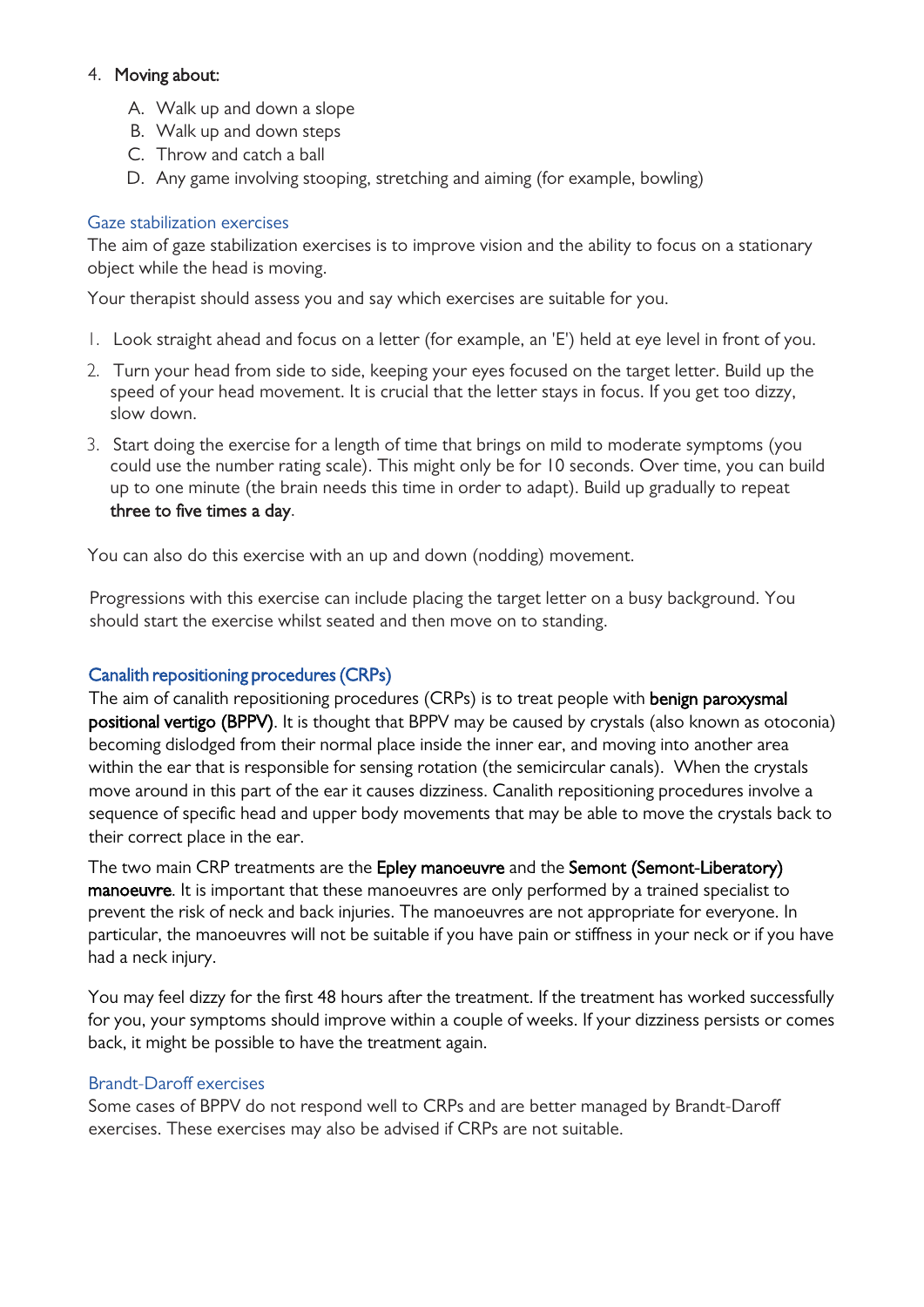## 4. Moving about:

- A. Walk up and down a slope
- B. Walk up and down steps
- C. Throw and catch a ball
- D. Any game involving stooping, stretching and aiming (for example, bowling)

## Gaze stabilization exercises

The aim of gaze stabilization exercises is to improve vision and the ability to focus on a stationary object while the head is moving.

Your therapist should assess you and say which exercises are suitable for you.

- 1. Look straight ahead and focus on a letter (for example, an 'E') held at eye level in front of you.
- 2. Turn your head from side to side, keeping your eyes focused on the target letter. Build up the speed of your head movement. It is crucial that the letter stays in focus. If you get too dizzy, slow down.
- 3. Start doing the exercise for a length of time that brings on mild to moderate symptoms (you could use the number rating scale). This might only be for 10 seconds. Over time, you can build up to one minute (the brain needs this time in order to adapt). Build up gradually to repeat three to five times a day.

You can also do this exercise with an up and down (nodding) movement.

Progressions with this exercise can include placing the target letter on a busy background. You should start the exercise whilst seated and then move on to standing.

## Canalith repositioning procedures (CRPs)

The aim of canalith repositioning procedures (CRPs) is to treat people with **benign paroxysmal** positional vertigo (BPPV). It is thought that BPPV may be caused by crystals (also known as otoconia) becoming dislodged from their normal place inside the inner ear, and moving into another area within the ear that is responsible for sensing rotation (the semicircular canals). When the crystals move around in this part of the ear it causes dizziness. Canalith repositioning procedures involve a sequence of specific head and upper body movements that may be able to move the crystals back to their correct place in the ear.

The two main CRP treatments are the Epley manoeuvre and the Semont (Semont-Liberatory) manoeuvre. It is important that these manoeuvres are only performed by a trained specialist to prevent the risk of neck and back injuries. The manoeuvres are not appropriate for everyone. In particular, the manoeuvres will not be suitable if you have pain or stiffness in your neck or if you have had a neck injury.

You may feel dizzy for the first 48 hours after the treatment. If the treatment has worked successfully for you, your symptoms should improve within a couple of weeks. If your dizziness persists or comes back, it might be possible to have the treatment again.

## Brandt-Daroff exercises

Some cases of BPPV do not respond well to CRPs and are better managed by Brandt-Daroff exercises. These exercises may also be advised if CRPs are not suitable.